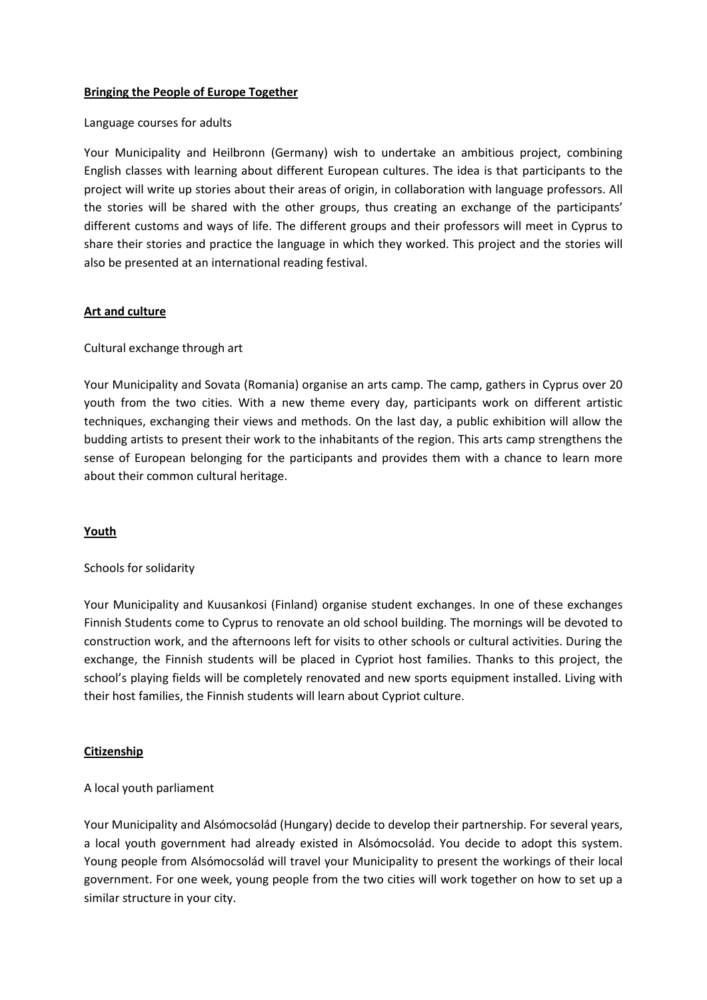## **Bringing the People of Europe Together**

#### Language courses for adults

Your Municipality and Heilbronn (Germany) wish to undertake an ambitious project, combining English classes with learning about different European cultures. The idea is that participants to the project will write up stories about their areas of origin, in collaboration with language professors. All the stories will be shared with the other groups, thus creating an exchange of the participants' different customs and ways of life. The different groups and their professors will meet in Cyprus to share their stories and practice the language in which they worked. This project and the stories will also be presented at an international reading festival.

## **Art and culture**

### Cultural exchange through art

Your Municipality and Sovata (Romania) organise an arts camp. The camp, gathers in Cyprus over 20 youth from the two cities. With a new theme every day, participants work on different artistic techniques, exchanging their views and methods. On the last day, a public exhibition will allow the budding artists to present their work to the inhabitants of the region. This arts camp strengthens the sense of European belonging for the participants and provides them with a chance to learn more about their common cultural heritage.

### **Youth**

### Schools for solidarity

Your Municipality and Kuusankosi (Finland) organise student exchanges. In one of these exchanges Finnish Students come to Cyprus to renovate an old school building. The mornings will be devoted to construction work, and the afternoons left for visits to other schools or cultural activities. During the exchange, the Finnish students will be placed in Cypriot host families. Thanks to this project, the school's playing fields will be completely renovated and new sports equipment installed. Living with their host families, the Finnish students will learn about Cypriot culture.

### **Citizenship**

### A local youth parliament

Your Municipality and Alsómocsolád (Hungary) decide to develop their partnership. For several years, a local youth government had already existed in Alsómocsolád. You decide to adopt this system. Young people from Alsómocsolád will travel your Municipality to present the workings of their local government. For one week, young people from the two cities will work together on how to set up a similar structure in your city.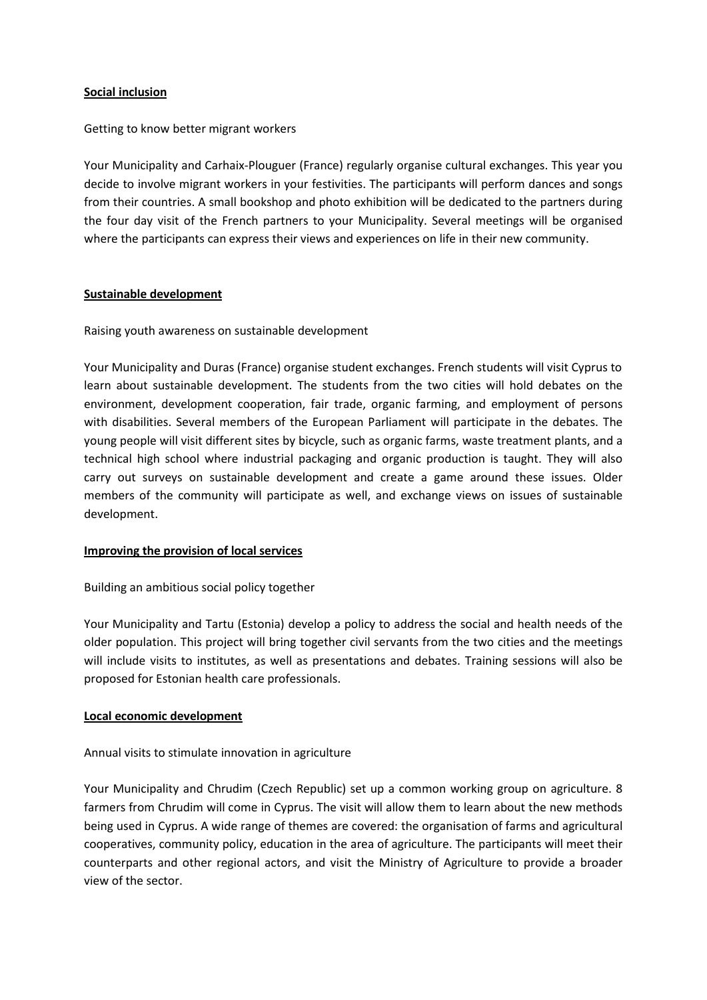# **Social inclusion**

### Getting to know better migrant workers

Your Municipality and Carhaix-Plouguer (France) regularly organise cultural exchanges. This year you decide to involve migrant workers in your festivities. The participants will perform dances and songs from their countries. A small bookshop and photo exhibition will be dedicated to the partners during the four day visit of the French partners to your Municipality. Several meetings will be organised where the participants can express their views and experiences on life in their new community.

## **Sustainable development**

Raising youth awareness on sustainable development

Your Municipality and Duras (France) organise student exchanges. French students will visit Cyprus to learn about sustainable development. The students from the two cities will hold debates on the environment, development cooperation, fair trade, organic farming, and employment of persons with disabilities. Several members of the European Parliament will participate in the debates. The young people will visit different sites by bicycle, such as organic farms, waste treatment plants, and a technical high school where industrial packaging and organic production is taught. They will also carry out surveys on sustainable development and create a game around these issues. Older members of the community will participate as well, and exchange views on issues of sustainable development.

### **Improving the provision of local services**

Building an ambitious social policy together

Your Municipality and Tartu (Estonia) develop a policy to address the social and health needs of the older population. This project will bring together civil servants from the two cities and the meetings will include visits to institutes, as well as presentations and debates. Training sessions will also be proposed for Estonian health care professionals.

### **Local economic development**

### Annual visits to stimulate innovation in agriculture

Your Municipality and Chrudim (Czech Republic) set up a common working group on agriculture. 8 farmers from Chrudim will come in Cyprus. The visit will allow them to learn about the new methods being used in Cyprus. A wide range of themes are covered: the organisation of farms and agricultural cooperatives, community policy, education in the area of agriculture. The participants will meet their counterparts and other regional actors, and visit the Ministry of Agriculture to provide a broader view of the sector.